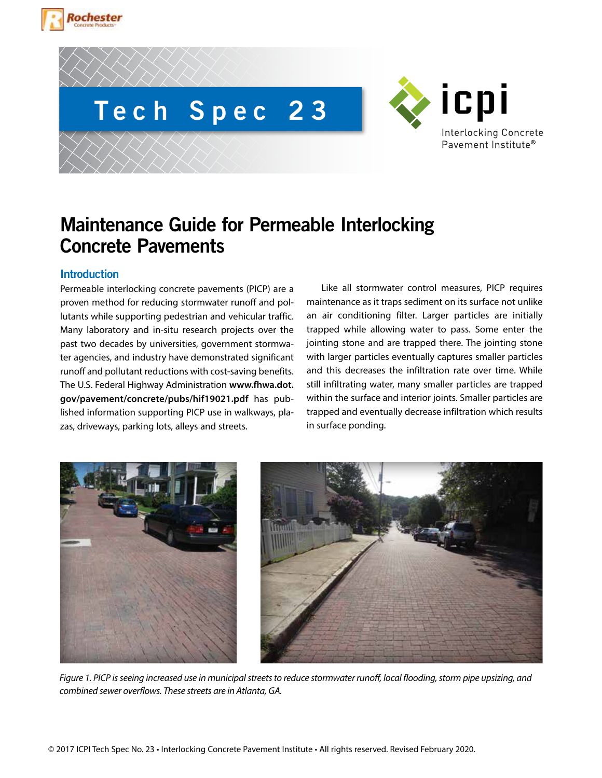



# **Maintenance Guide for Permeable Interlocking Concrete Pavements**

# **Introduction**

Permeable interlocking concrete pavements (PICP) are a proven method for reducing stormwater runoff and pollutants while supporting pedestrian and vehicular traffic. Many laboratory and in-situ research projects over the past two decades by universities, government stormwater agencies, and industry have demonstrated significant runoff and pollutant reductions with cost-saving benefits. The U.S. Federal Highway Administration **www.fhwa.dot. gov/pavement/concrete/pubs/hif19021.pdf** has published information supporting PICP use in walkways, plazas, driveways, parking lots, alleys and streets.

Like all stormwater control measures, PICP requires maintenance as it traps sediment on its surface not unlike an air conditioning filter. Larger particles are initially trapped while allowing water to pass. Some enter the jointing stone and are trapped there. The jointing stone with larger particles eventually captures smaller particles and this decreases the infiltration rate over time. While still infiltrating water, many smaller particles are trapped within the surface and interior joints. Smaller particles are trapped and eventually decrease infiltration which results in surface ponding.

icpi

**Interlocking Concrete** Pavement Institute®



*Figure 1. PICP is seeing increased use in municipal streets to reduce stormwater runoff, local flooding, storm pipe upsizing, and combined sewer overflows. These streets are in Atlanta, GA.*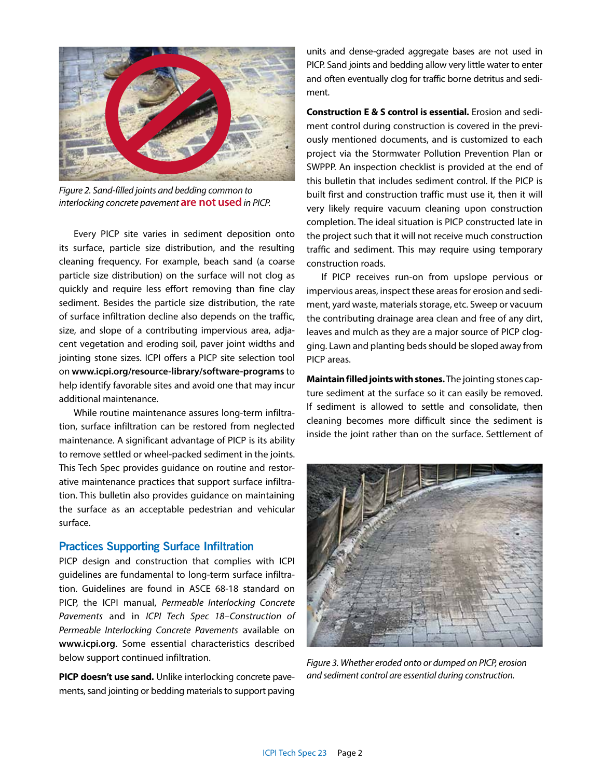

*Figure 2. Sand-filled joints and bedding common to interlocking concrete pavement* **are not used** *in PICP.* 

Every PICP site varies in sediment deposition onto its surface, particle size distribution, and the resulting cleaning frequency. For example, beach sand (a coarse particle size distribution) on the surface will not clog as quickly and require less effort removing than fine clay sediment. Besides the particle size distribution, the rate of surface infiltration decline also depends on the traffic, size, and slope of a contributing impervious area, adjacent vegetation and eroding soil, paver joint widths and jointing stone sizes. ICPI offers a PICP site selection tool on **www.icpi.org/resource-library/software-programs** to help identify favorable sites and avoid one that may incur additional maintenance.

While routine maintenance assures long-term infiltration, surface infiltration can be restored from neglected maintenance. A significant advantage of PICP is its ability to remove settled or wheel-packed sediment in the joints. This Tech Spec provides guidance on routine and restorative maintenance practices that support surface infiltration. This bulletin also provides guidance on maintaining the surface as an acceptable pedestrian and vehicular surface.

## **Practices Supporting Surface Infiltration**

PICP design and construction that complies with ICPI guidelines are fundamental to long-term surface infiltration. Guidelines are found in ASCE 68-18 standard on PICP, the ICPI manual, *Permeable Interlocking Concrete Pavements* and in *ICPI Tech Spec 18–Construction of Permeable Interlocking Concrete Pavements* available on **www.icpi.org**. Some essential characteristics described below support continued infiltration.

**PICP doesn't use sand.** Unlike interlocking concrete pavements, sand jointing or bedding materials to support paving units and dense-graded aggregate bases are not used in PICP. Sand joints and bedding allow very little water to enter and often eventually clog for traffic borne detritus and sediment.

**Construction E & S control is essential.** Erosion and sediment control during construction is covered in the previously mentioned documents, and is customized to each project via the Stormwater Pollution Prevention Plan or SWPPP. An inspection checklist is provided at the end of this bulletin that includes sediment control. If the PICP is built first and construction traffic must use it, then it will very likely require vacuum cleaning upon construction completion. The ideal situation is PICP constructed late in the project such that it will not receive much construction traffic and sediment. This may require using temporary construction roads.

If PICP receives run-on from upslope pervious or impervious areas, inspect these areas for erosion and sediment, yard waste, materials storage, etc. Sweep or vacuum the contributing drainage area clean and free of any dirt, leaves and mulch as they are a major source of PICP clogging. Lawn and planting beds should be sloped away from PICP areas.

**Maintain filled joints with stones.** The jointing stones capture sediment at the surface so it can easily be removed. If sediment is allowed to settle and consolidate, then cleaning becomes more difficult since the sediment is inside the joint rather than on the surface. Settlement of



*Figure 3. Whether eroded onto or dumped on PICP, erosion and sediment control are essential during construction.*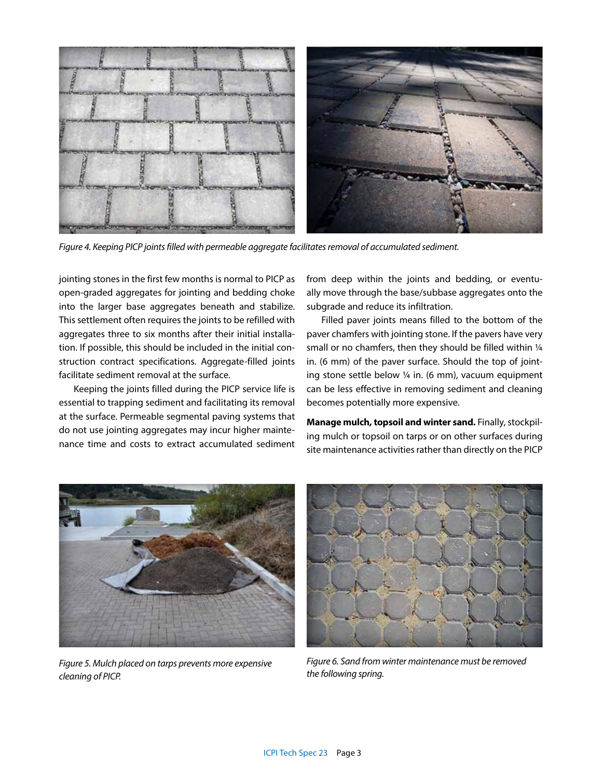

*Figure 4. Keeping PICP joints filled with permeable aggregate facilitates removal of accumulated sediment.*

jointing stones in the first few months is normal to PICP as open-graded aggregates for jointing and bedding choke into the larger base aggregates beneath and stabilize. This settlement often requires the joints to be refilled with aggregates three to six months after their initial installation. If possible, this should be included in the initial construction contract specifications. Aggregate-filled joints facilitate sediment removal at the surface.

Keeping the joints filled during the PICP service life is essential to trapping sediment and facilitating its removal at the surface. Permeable segmental paving systems that do not use jointing aggregates may incur higher maintenance time and costs to extract accumulated sediment from deep within the joints and bedding, or eventually move through the base/subbase aggregates onto the subgrade and reduce its infiltration.

Filled paver joints means filled to the bottom of the paver chamfers with jointing stone. If the pavers have very small or no chamfers, then they should be filled within 1/4 in. (6 mm) of the paver surface. Should the top of jointing stone settle below  $\frac{1}{4}$  in. (6 mm), vacuum equipment can be less effective in removing sediment and cleaning becomes potentially more expensive.

**Manage mulch, topsoil and winter sand.** Finally, stockpiling mulch or topsoil on tarps or on other surfaces during site maintenance activities rather than directly on the PICP



*Figure 5. Mulch placed on tarps prevents more expensive cleaning of PICP.* 



*Figure 6. Sand from winter maintenance must be removed the following spring.*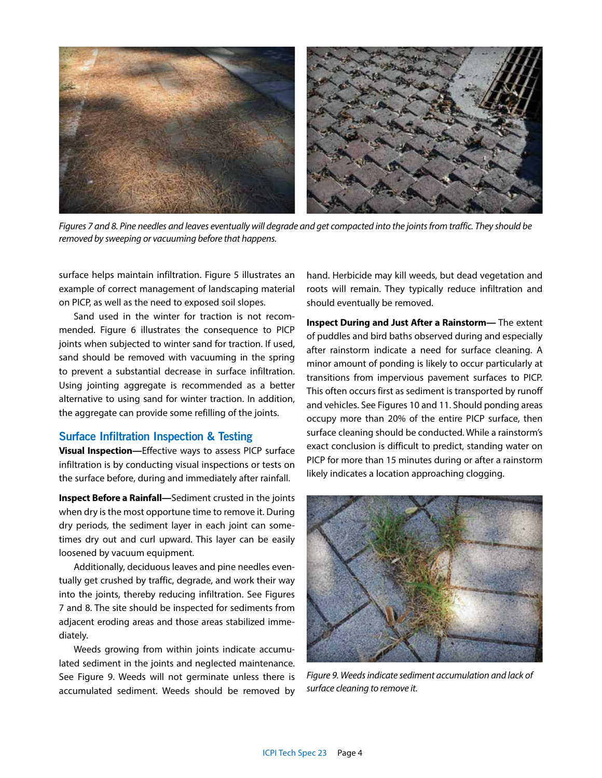

*Figures 7 and 8. Pine needles and leaves eventually will degrade and get compacted into the joints from traffic. They should be removed by sweeping or vacuuming before that happens.*

surface helps maintain infiltration. Figure 5 illustrates an example of correct management of landscaping material on PICP, as well as the need to exposed soil slopes.

Sand used in the winter for traction is not recommended. Figure 6 illustrates the consequence to PICP joints when subjected to winter sand for traction. If used, sand should be removed with vacuuming in the spring to prevent a substantial decrease in surface infiltration. Using jointing aggregate is recommended as a better alternative to using sand for winter traction. In addition, the aggregate can provide some refilling of the joints.

### **Surface Infiltration Inspection & Testing**

**Visual Inspection—**Effective ways to assess PICP surface infiltration is by conducting visual inspections or tests on the surface before, during and immediately after rainfall.

**Inspect Before a Rainfall—**Sediment crusted in the joints when dry is the most opportune time to remove it. During dry periods, the sediment layer in each joint can sometimes dry out and curl upward. This layer can be easily loosened by vacuum equipment.

Additionally, deciduous leaves and pine needles eventually get crushed by traffic, degrade, and work their way into the joints, thereby reducing infiltration. See Figures 7 and 8. The site should be inspected for sediments from adjacent eroding areas and those areas stabilized immediately.

Weeds growing from within joints indicate accumulated sediment in the joints and neglected maintenance. See Figure 9. Weeds will not germinate unless there is accumulated sediment. Weeds should be removed by hand. Herbicide may kill weeds, but dead vegetation and roots will remain. They typically reduce infiltration and should eventually be removed.

**Inspect During and Just After a Rainstorm—** The extent of puddles and bird baths observed during and especially after rainstorm indicate a need for surface cleaning. A minor amount of ponding is likely to occur particularly at transitions from impervious pavement surfaces to PICP. This often occurs first as sediment is transported by runoff and vehicles. See Figures 10 and 11. Should ponding areas occupy more than 20% of the entire PICP surface, then surface cleaning should be conducted. While a rainstorm's exact conclusion is difficult to predict, standing water on PICP for more than 15 minutes during or after a rainstorm likely indicates a location approaching clogging.



*Figure 9. Weeds indicate sediment accumulation and lack of surface cleaning to remove it.*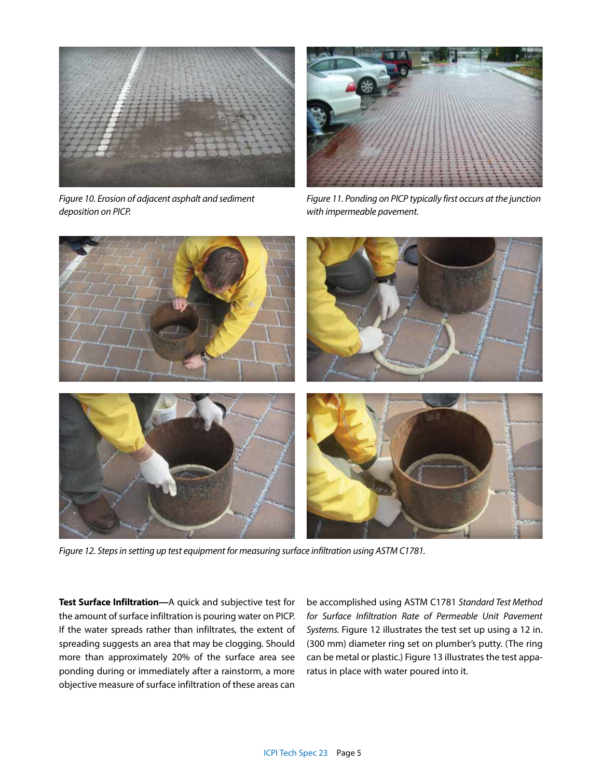

*Figure 10. Erosion of adjacent asphalt and sediment deposition on PICP.* 



*Figure 11. Ponding on PICP typically first occurs at the junction with impermeable pavement.*



*Figure 12. Steps in setting up test equipment for measuring surface infiltration using ASTM C1781.*

**Test Surface Infiltration—**A quick and subjective test for the amount of surface infiltration is pouring water on PICP. If the water spreads rather than infiltrates, the extent of spreading suggests an area that may be clogging. Should more than approximately 20% of the surface area see ponding during or immediately after a rainstorm, a more objective measure of surface infiltration of these areas can

be accomplished using ASTM C1781 *Standard Test Method for Surface Infiltration Rate of Permeable Unit Pavement Systems.* Figure 12 illustrates the test set up using a 12 in. (300 mm) diameter ring set on plumber's putty. (The ring can be metal or plastic.) Figure 13 illustrates the test apparatus in place with water poured into it.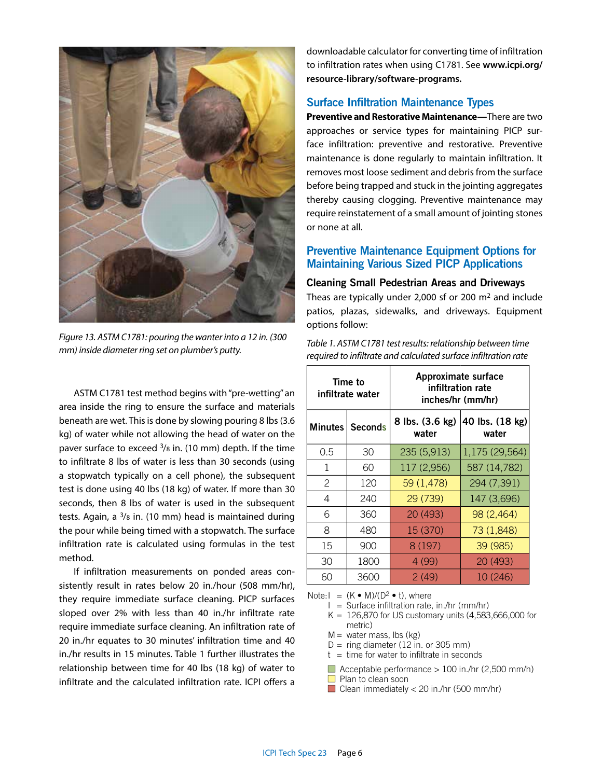

*Figure 13. ASTM C1781: pouring the wanter into a 12 in. (300 mm) inside diameter ring set on plumber's putty.* 

ASTM C1781 test method begins with "pre-wetting" an area inside the ring to ensure the surface and materials beneath are wet. This is done by slowing pouring 8 lbs (3.6 kg) of water while not allowing the head of water on the paver surface to exceed  $\frac{3}{8}$  in. (10 mm) depth. If the time to infiltrate 8 lbs of water is less than 30 seconds (using a stopwatch typically on a cell phone), the subsequent test is done using 40 lbs (18 kg) of water. If more than 30 seconds, then 8 lbs of water is used in the subsequent tests. Again, a  $3/8$  in. (10 mm) head is maintained during the pour while being timed with a stopwatch. The surface infiltration rate is calculated using formulas in the test method.

If infiltration measurements on ponded areas consistently result in rates below 20 in./hour (508 mm/hr), they require immediate surface cleaning. PICP surfaces sloped over 2% with less than 40 in./hr infiltrate rate require immediate surface cleaning. An infiltration rate of 20 in./hr equates to 30 minutes' infiltration time and 40 in./hr results in 15 minutes. Table 1 further illustrates the relationship between time for 40 lbs (18 kg) of water to infiltrate and the calculated infiltration rate. ICPI offers a

downloadable calculator for converting time of infiltration to infiltration rates when using C1781. See **www.icpi.org/ resource-library/software-programs.**

## **Surface Infiltration Maintenance Types**

**Preventive and Restorative Maintenance—**There are two approaches or service types for maintaining PICP surface infiltration: preventive and restorative. Preventive maintenance is done regularly to maintain infiltration. It removes most loose sediment and debris from the surface before being trapped and stuck in the jointing aggregates thereby causing clogging. Preventive maintenance may require reinstatement of a small amount of jointing stones or none at all.

## **Preventive Maintenance Equipment Options for Maintaining Various Sized PICP Applications**

#### **Cleaning Small Pedestrian Areas and Driveways**

Theas are typically under 2,000 sf or 200  $m<sup>2</sup>$  and include patios, plazas, sidewalks, and driveways. Equipment options follow:

| Table 1. ASTM C1781 test results: relationship between time     |
|-----------------------------------------------------------------|
| required to infiltrate and calculated surface infiltration rate |

| Time to<br>infiltrate water |                   | Approximate surface<br>infiltration rate<br>inches/hr (mm/hr) |                          |
|-----------------------------|-------------------|---------------------------------------------------------------|--------------------------|
|                             | Minutes   Seconds | 8 lbs. (3.6 kg)<br>water                                      | 40 lbs. (18 kg)<br>water |
| 0.5                         | 30                | 235 (5,913)                                                   | 1,175 (29,564)           |
| 1                           | 60                | 117 (2,956)                                                   | 587 (14,782)             |
| 2                           | 120               | 59 (1,478)                                                    | 294 (7,391)              |
| 4                           | 240               | 29 (739)                                                      | 147 (3,696)              |
| 6                           | 360               | 20 (493)                                                      | 98 (2,464)               |
| 8                           | 480               | 15 (370)                                                      | 73 (1,848)               |
| 15                          | 900               | 8 (197)                                                       | 39 (985)                 |
| 30                          | 1800              | 4 (99)                                                        | 20 (493)                 |
| 60                          | 3600              | 2(49)                                                         | 10 (246)                 |

Note: $I = (K \cdot M)/(D^2 \cdot t)$ , where

 $I =$  Surface infiltration rate, in./hr (mm/hr)

- $K = 126,870$  for US customary units  $(4,583,666,000$  for metric)
- $M =$  water mass, lbs (kg)
- $D =$  ring diameter (12 in. or 305 mm)
- $t =$  time for water to infiltrate in seconds

 $\Box$  Acceptable performance > 100 in./hr (2,500 mm/h)

- Plan to clean soon
- Clean immediately  $<$  20 in./hr (500 mm/hr)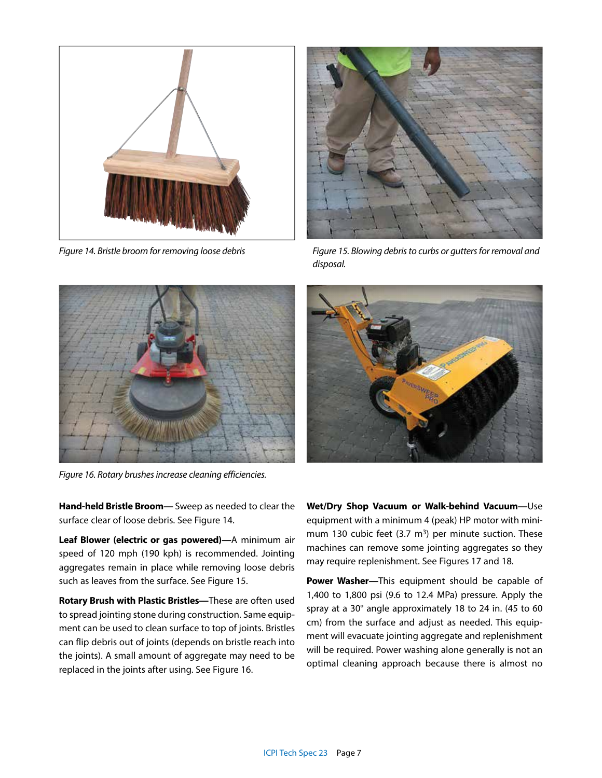



*Figure 14. Bristle broom for removing loose debris Figure 15. Blowing debris to curbs or gutters for removal and disposal.*



*Figure 16. Rotary brushes increase cleaning efficiencies.*



**Leaf Blower (electric or gas powered)—**A minimum air speed of 120 mph (190 kph) is recommended. Jointing aggregates remain in place while removing loose debris such as leaves from the surface. See Figure 15.

**Rotary Brush with Plastic Bristles—**These are often used to spread jointing stone during construction. Same equipment can be used to clean surface to top of joints. Bristles can flip debris out of joints (depends on bristle reach into the joints). A small amount of aggregate may need to be replaced in the joints after using. See Figure 16.



**Wet/Dry Shop Vacuum or Walk-behind Vacuum—**Use equipment with a minimum 4 (peak) HP motor with minimum 130 cubic feet  $(3.7 \text{ m}^3)$  per minute suction. These machines can remove some jointing aggregates so they may require replenishment. See Figures 17 and 18.

**Power Washer—**This equipment should be capable of 1,400 to 1,800 psi (9.6 to 12.4 MPa) pressure. Apply the spray at a 30° angle approximately 18 to 24 in. (45 to 60 cm) from the surface and adjust as needed. This equipment will evacuate jointing aggregate and replenishment will be required. Power washing alone generally is not an optimal cleaning approach because there is almost no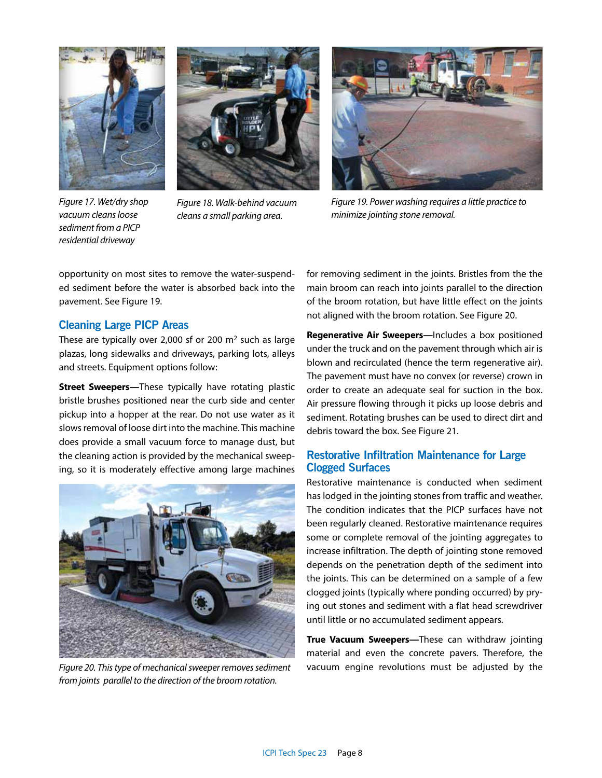



*Figure 17. Wet/dry shop vacuum cleans loose sediment from a PICP residential driveway* 

*Figure 18. Walk-behind vacuum cleans a small parking area.*



*Figure 19. Power washing requires a little practice to minimize jointing stone removal.*

opportunity on most sites to remove the water-suspended sediment before the water is absorbed back into the pavement. See Figure 19.

### **Cleaning Large PICP Areas**

These are typically over 2,000 sf or 200  $m<sup>2</sup>$  such as large plazas, long sidewalks and driveways, parking lots, alleys and streets. Equipment options follow:

**Street Sweepers—**These typically have rotating plastic bristle brushes positioned near the curb side and center pickup into a hopper at the rear. Do not use water as it slows removal of loose dirt into the machine. This machine does provide a small vacuum force to manage dust, but the cleaning action is provided by the mechanical sweeping, so it is moderately effective among large machines



*Figure 20. This type of mechanical sweeper removes sediment from joints parallel to the direction of the broom rotation.*

for removing sediment in the joints. Bristles from the the main broom can reach into joints parallel to the direction of the broom rotation, but have little effect on the joints not aligned with the broom rotation. See Figure 20.

**Regenerative Air Sweepers—**Includes a box positioned under the truck and on the pavement through which air is blown and recirculated (hence the term regenerative air). The pavement must have no convex (or reverse) crown in order to create an adequate seal for suction in the box. Air pressure flowing through it picks up loose debris and sediment. Rotating brushes can be used to direct dirt and debris toward the box. See Figure 21.

# **Restorative Infiltration Maintenance for Large Clogged Surfaces**

Restorative maintenance is conducted when sediment has lodged in the jointing stones from traffic and weather. The condition indicates that the PICP surfaces have not been regularly cleaned. Restorative maintenance requires some or complete removal of the jointing aggregates to increase infiltration. The depth of jointing stone removed depends on the penetration depth of the sediment into the joints. This can be determined on a sample of a few clogged joints (typically where ponding occurred) by prying out stones and sediment with a flat head screwdriver until little or no accumulated sediment appears.

**True Vacuum Sweepers—**These can withdraw jointing material and even the concrete pavers. Therefore, the vacuum engine revolutions must be adjusted by the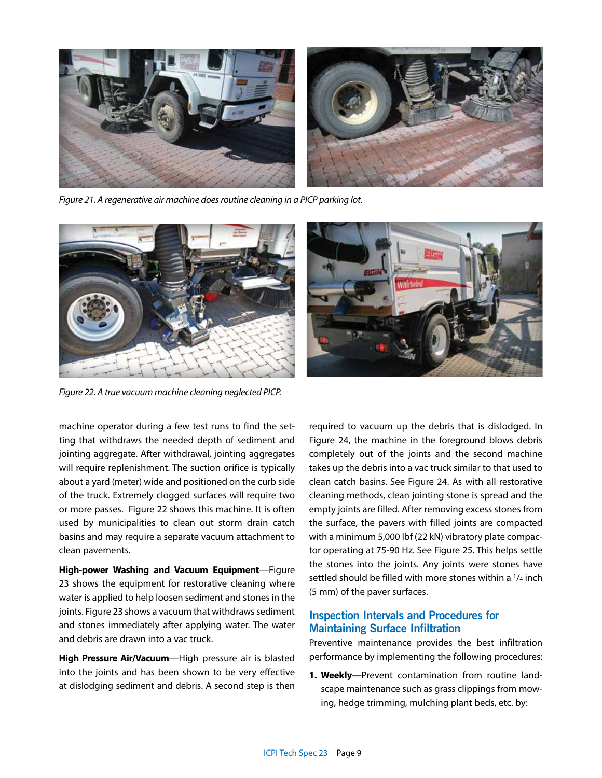

*Figure 21. A regenerative air machine does routine cleaning in a PICP parking lot.*





*Figure 22. A true vacuum machine cleaning neglected PICP.*

machine operator during a few test runs to find the setting that withdraws the needed depth of sediment and jointing aggregate. After withdrawal, jointing aggregates will require replenishment. The suction orifice is typically about a yard (meter) wide and positioned on the curb side of the truck. Extremely clogged surfaces will require two or more passes. Figure 22 shows this machine. It is often used by municipalities to clean out storm drain catch basins and may require a separate vacuum attachment to clean pavements.

**High-power Washing and Vacuum Equipment**—Figure 23 shows the equipment for restorative cleaning where water is applied to help loosen sediment and stones in the joints. Figure 23 shows a vacuum that withdraws sediment and stones immediately after applying water. The water and debris are drawn into a vac truck.

**High Pressure Air/Vacuum**—High pressure air is blasted into the joints and has been shown to be very effective at dislodging sediment and debris. A second step is then required to vacuum up the debris that is dislodged. In Figure 24, the machine in the foreground blows debris completely out of the joints and the second machine takes up the debris into a vac truck similar to that used to clean catch basins. See Figure 24. As with all restorative cleaning methods, clean jointing stone is spread and the empty joints are filled. After removing excess stones from the surface, the pavers with filled joints are compacted with a minimum 5,000 lbf (22 kN) vibratory plate compactor operating at 75-90 Hz. See Figure 25. This helps settle the stones into the joints. Any joints were stones have settled should be filled with more stones within a  $1/4$  inch (5 mm) of the paver surfaces.

# **Inspection Intervals and Procedures for Maintaining Surface Infiltration**

Preventive maintenance provides the best infiltration performance by implementing the following procedures:

**1. Weekly—**Prevent contamination from routine landscape maintenance such as grass clippings from mowing, hedge trimming, mulching plant beds, etc. by: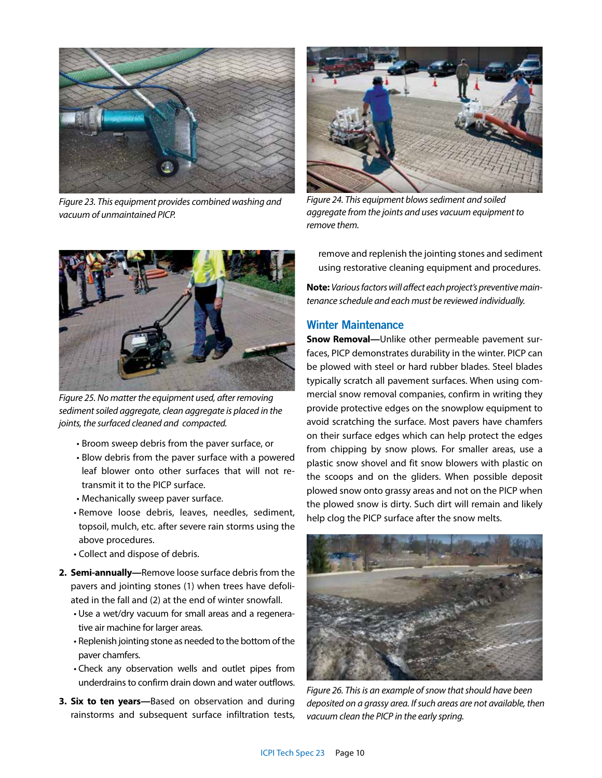

*Figure 23. This equipment provides combined washing and vacuum of unmaintained PICP.*



*Figure 24. This equipment blows sediment and soiled aggregate from the joints and uses vacuum equipment to remove them.* 



*Figure 25. No matter the equipment used, after removing sediment soiled aggregate, clean aggregate is placed in the joints, the surfaced cleaned and compacted.*

- Broom sweep debris from the paver surface, or
- Blow debris from the paver surface with a powered leaf blower onto other surfaces that will not retransmit it to the PICP surface.
- Mechanically sweep paver surface.
- Remove loose debris, leaves, needles, sediment, topsoil, mulch, etc. after severe rain storms using the above procedures.
- Collect and dispose of debris.
- **2. Semi-annually—**Remove loose surface debris from the pavers and jointing stones (1) when trees have defoliated in the fall and (2) at the end of winter snowfall.
	- Use a wet/dry vacuum for small areas and a regenerative air machine for larger areas.
	- Replenish jointing stone as needed to the bottom of the paver chamfers.
	- Check any observation wells and outlet pipes from underdrains to confirm drain down and water outflows.
- **3. Six to ten years—**Based on observation and during rainstorms and subsequent surface infiltration tests,

remove and replenish the jointing stones and sediment using restorative cleaning equipment and procedures.

**Note:** *Various factors will affect each project's preventive maintenance schedule and each must be reviewed individually.*

## **Winter Maintenance**

**Snow Removal—**Unlike other permeable pavement surfaces, PICP demonstrates durability in the winter. PICP can be plowed with steel or hard rubber blades. Steel blades typically scratch all pavement surfaces. When using commercial snow removal companies, confirm in writing they provide protective edges on the snowplow equipment to avoid scratching the surface. Most pavers have chamfers on their surface edges which can help protect the edges from chipping by snow plows. For smaller areas, use a plastic snow shovel and fit snow blowers with plastic on the scoops and on the gliders. When possible deposit plowed snow onto grassy areas and not on the PICP when the plowed snow is dirty. Such dirt will remain and likely help clog the PICP surface after the snow melts.



*Figure 26. This is an example of snow that should have been deposited on a grassy area. If such areas are not available, then vacuum clean the PICP in the early spring.*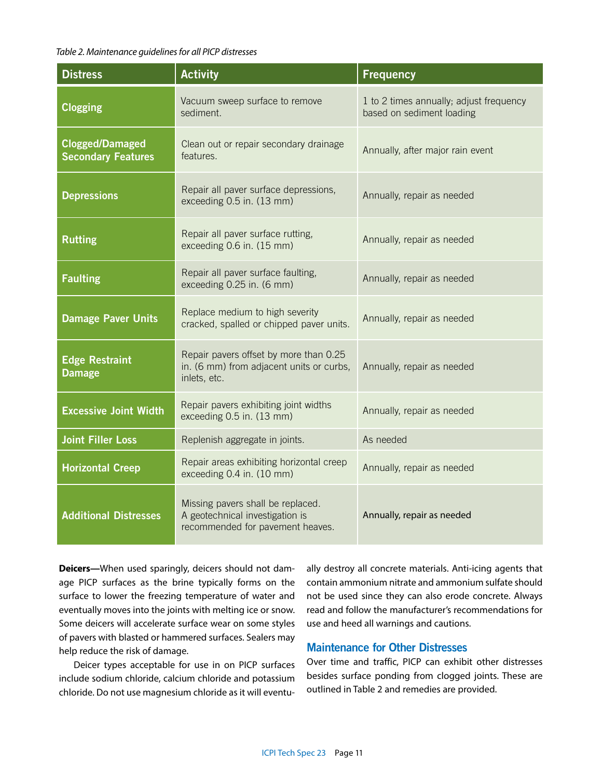#### *Table 2. Maintenance guidelines for all PICP distresses*

| <b>Distress</b>                                                                                  | <b>Activity</b>                                                                                          | <b>Frequency</b>                                                     |
|--------------------------------------------------------------------------------------------------|----------------------------------------------------------------------------------------------------------|----------------------------------------------------------------------|
| <b>Clogging</b>                                                                                  | Vacuum sweep surface to remove<br>sediment.                                                              | 1 to 2 times annually; adjust frequency<br>based on sediment loading |
| <b>Clogged/Damaged</b><br><b>Secondary Features</b>                                              | Clean out or repair secondary drainage<br>features.                                                      | Annually, after major rain event                                     |
| <b>Depressions</b>                                                                               | Repair all paver surface depressions,<br>exceeding 0.5 in. (13 mm)                                       | Annually, repair as needed                                           |
| <b>Rutting</b>                                                                                   | Repair all paver surface rutting,<br>exceeding 0.6 in. (15 mm)                                           | Annually, repair as needed                                           |
| <b>Faulting</b>                                                                                  | Repair all paver surface faulting,<br>exceeding 0.25 in. (6 mm)                                          | Annually, repair as needed                                           |
| <b>Damage Paver Units</b>                                                                        | Replace medium to high severity<br>cracked, spalled or chipped paver units.                              | Annually, repair as needed                                           |
| <b>Edge Restraint</b><br><b>Damage</b>                                                           | Repair pavers offset by more than 0.25<br>in. (6 mm) from adjacent units or curbs,<br>inlets, etc.       | Annually, repair as needed                                           |
| <b>Excessive Joint Width</b>                                                                     | Repair pavers exhibiting joint widths<br>exceeding 0.5 in. (13 mm)                                       | Annually, repair as needed                                           |
| <b>Joint Filler Loss</b>                                                                         | Replenish aggregate in joints.                                                                           | As needed                                                            |
| Repair areas exhibiting horizontal creep<br><b>Horizontal Creep</b><br>exceeding 0.4 in. (10 mm) |                                                                                                          | Annually, repair as needed                                           |
| <b>Additional Distresses</b>                                                                     | Missing pavers shall be replaced.<br>A geotechnical investigation is<br>recommended for pavement heaves. | Annually, repair as needed                                           |

**Deicers—**When used sparingly, deicers should not damage PICP surfaces as the brine typically forms on the surface to lower the freezing temperature of water and eventually moves into the joints with melting ice or snow. Some deicers will accelerate surface wear on some styles of pavers with blasted or hammered surfaces. Sealers may help reduce the risk of damage.

Deicer types acceptable for use in on PICP surfaces include sodium chloride, calcium chloride and potassium chloride. Do not use magnesium chloride as it will eventually destroy all concrete materials. Anti-icing agents that contain ammonium nitrate and ammonium sulfate should not be used since they can also erode concrete. Always read and follow the manufacturer's recommendations for use and heed all warnings and cautions.

# **Maintenance for Other Distresses**

Over time and traffic, PICP can exhibit other distresses besides surface ponding from clogged joints. These are outlined in Table 2 and remedies are provided.